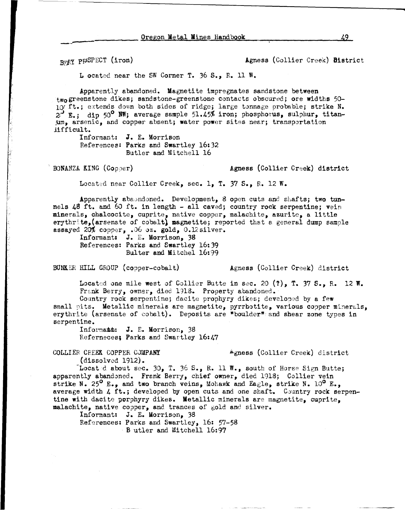BRAY PPSPECT (iron) Agness (Collier Creek) District

L ocated near the SW Corner T. 36 S., R. 11 W.

Apparently abandoned. Magnetite impregnates sandstone between two greenstone dikes; sandstone-greenstone contacts obscured; ore widths  $50-$ 10 ft.; extends down both sides of ridge; large tonnage probable; strike N. 2<sup>3</sup> E.; dip 50° NW; average sample 51.45% iron; phosphorus, sulphur, titan-:Um, arsenic, and copper absent; water **power** sites neer; transportation iifficult.

Informant: **J.E.** Morrison References: Parks and Swartley 16:32 Butler and Mitchell 16

BONANZA KING (Copper) **Agness (Collier Creek) district** 

Located near Collier Creek, sec. 1, T. 37 S., R. 12 W.

Apparently aba.mdoned. Development, 8 open cuts and shafts; two tunnels 48 ft. and 60 ft. in length - all caved; country rock serpentine; vein minerals, chalcocite, cuprite, native copper, malachite, azurite, a little erythrite,(arsenate of cobalt} magnetite; reported that a general dump sample assayed 20% copper, .06 oz. gold, 0.12silver.

Informant: J. E. Morrison, 38 References: Parks and Swartley 16:39 Bulter and Mitchel 16:99

BUNKER HILL GROUP (copper-cobalt) Agness (Collier Creek) district

Located one mile west of Collier Butte in sec. 20 (?), T. 37 S., R. 12 W. Frank Berry, owner, died 1918. Property abandoned.

Country rock serpentine; dacite prophyry dikes; developed by a few small pits. Metallic minerals are magnetite, pyrrhotite, various copper minerals, erythrite (arsenate of cobalt). Deposits are "boulder" and shear zone types in serpentine.

Informant: J. E. Morrison, 38 Referneces; Parks and Swartley 16:47

COLLIER CFEEK COPPER CJMPANY ... **Agness** (Collier Creek) district

(dissolved  $1912$ ).

Located about sec. 30, T. 36 S., R. 11 W., south of Horse Sign Butte; apparently abandoned. Frank Berry, chief owner, died 1918; Collier vein strike N. 25<sup>0</sup> E., and two branch veins, Mohawk and Eagle, strike N. 10<sup>0</sup> E., average width 4 ft.; developed by open cuts and one shaft. Country rock serpentine with dacite porphyry dikes. Metallic minerals are magnetite, cuprite, malachite, native copper, and trances of gold and silver.

Informant: J. E. Morrison, 38 References: Parks and Swartley, 16: 57-58

· B utler and Mitchell 16: 97